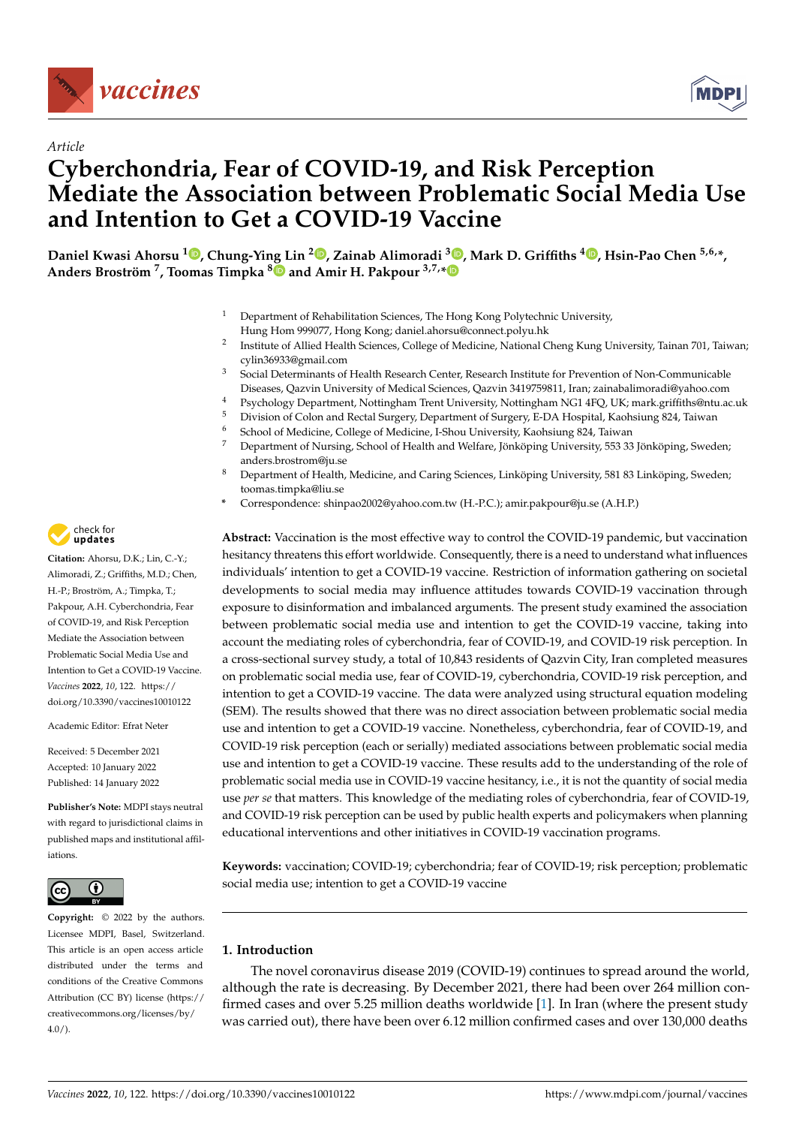



# *Article* **Cyberchondria, Fear of COVID-19, and Risk Perception Mediate the Association between Problematic Social Media Use and Intention to Get a COVID-19 Vaccine**

**Daniel Kwasi Ahorsu <sup>1</sup> [,](https://orcid.org/0000-0003-0530-8138) Chung-Ying Lin <sup>2</sup> [,](https://orcid.org/0000-0002-2129-4242) Zainab Alimoradi <sup>3</sup> [,](https://orcid.org/0000-0001-5327-2411) Mark D. Griffiths <sup>4</sup> [,](https://orcid.org/0000-0001-8880-6524) Hsin-Pao Chen 5,6,\*, Anders Broström <sup>7</sup> , Toomas Timpka [8](https://orcid.org/0000-0001-6049-5402) and Amir H. Pakpour 3,7,[\\*](https://orcid.org/0000-0002-8798-5345)**

- <sup>1</sup> Department of Rehabilitation Sciences, The Hong Kong Polytechnic University, Hung Hom 999077, Hong Kong; daniel.ahorsu@connect.polyu.hk
- 2 Institute of Allied Health Sciences, College of Medicine, National Cheng Kung University, Tainan 701, Taiwan; cylin36933@gmail.com
- <sup>3</sup> Social Determinants of Health Research Center, Research Institute for Prevention of Non-Communicable Diseases, Qazvin University of Medical Sciences, Qazvin 3419759811, Iran; zainabalimoradi@yahoo.com
- 4 Psychology Department, Nottingham Trent University, Nottingham NG1 4FQ, UK; mark.griffiths@ntu.ac.uk<br>5 Division of Colan and Bastal Guerran Department of Guerran E.D.A. Hamilal Kachaiwa 024, Taiwan
- <sup>5</sup> Division of Colon and Rectal Surgery, Department of Surgery, E-DA Hospital, Kaohsiung 824, Taiwan
- <sup>6</sup> School of Medicine, College of Medicine, I-Shou University, Kaohsiung 824, Taiwan
- <sup>7</sup> Department of Nursing, School of Health and Welfare, Jönköping University, 553 33 Jönköping, Sweden; anders.brostrom@ju.se
- <sup>8</sup> Department of Health, Medicine, and Caring Sciences, Linköping University, 581 83 Linköping, Sweden; toomas.timpka@liu.se
- **\*** Correspondence: shinpao2002@yahoo.com.tw (H.-P.C.); amir.pakpour@ju.se (A.H.P.)

**Abstract:** Vaccination is the most effective way to control the COVID-19 pandemic, but vaccination hesitancy threatens this effort worldwide. Consequently, there is a need to understand what influences individuals' intention to get a COVID-19 vaccine. Restriction of information gathering on societal developments to social media may influence attitudes towards COVID-19 vaccination through exposure to disinformation and imbalanced arguments. The present study examined the association between problematic social media use and intention to get the COVID-19 vaccine, taking into account the mediating roles of cyberchondria, fear of COVID-19, and COVID-19 risk perception. In a cross-sectional survey study, a total of 10,843 residents of Qazvin City, Iran completed measures on problematic social media use, fear of COVID-19, cyberchondria, COVID-19 risk perception, and intention to get a COVID-19 vaccine. The data were analyzed using structural equation modeling (SEM). The results showed that there was no direct association between problematic social media use and intention to get a COVID-19 vaccine. Nonetheless, cyberchondria, fear of COVID-19, and COVID-19 risk perception (each or serially) mediated associations between problematic social media use and intention to get a COVID-19 vaccine. These results add to the understanding of the role of problematic social media use in COVID-19 vaccine hesitancy, i.e., it is not the quantity of social media use *per se* that matters. This knowledge of the mediating roles of cyberchondria, fear of COVID-19, and COVID-19 risk perception can be used by public health experts and policymakers when planning educational interventions and other initiatives in COVID-19 vaccination programs.

**Keywords:** vaccination; COVID-19; cyberchondria; fear of COVID-19; risk perception; problematic social media use; intention to get a COVID-19 vaccine

# **1. Introduction**

The novel coronavirus disease 2019 (COVID-19) continues to spread around the world, although the rate is decreasing. By December 2021, there had been over 264 million confirmed cases and over 5.25 million deaths worldwide [\[1\]](#page-8-0). In Iran (where the present study was carried out), there have been over 6.12 million confirmed cases and over 130,000 deaths



**Citation:** Ahorsu, D.K.; Lin, C.-Y.; Alimoradi, Z.; Griffiths, M.D.; Chen, H.-P.; Broström, A.; Timpka, T.; Pakpour, A.H. Cyberchondria, Fear of COVID-19, and Risk Perception Mediate the Association between Problematic Social Media Use and Intention to Get a COVID-19 Vaccine. *Vaccines* **2022**, *10*, 122. [https://](https://doi.org/10.3390/vaccines10010122) [doi.org/10.3390/vaccines10010122](https://doi.org/10.3390/vaccines10010122)

Academic Editor: Efrat Neter

Received: 5 December 2021 Accepted: 10 January 2022 Published: 14 January 2022

**Publisher's Note:** MDPI stays neutral with regard to jurisdictional claims in published maps and institutional affiliations.



**Copyright:** © 2022 by the authors. Licensee MDPI, Basel, Switzerland. This article is an open access article distributed under the terms and conditions of the Creative Commons Attribution (CC BY) license [\(https://](https://creativecommons.org/licenses/by/4.0/) [creativecommons.org/licenses/by/](https://creativecommons.org/licenses/by/4.0/)  $4.0/$ ).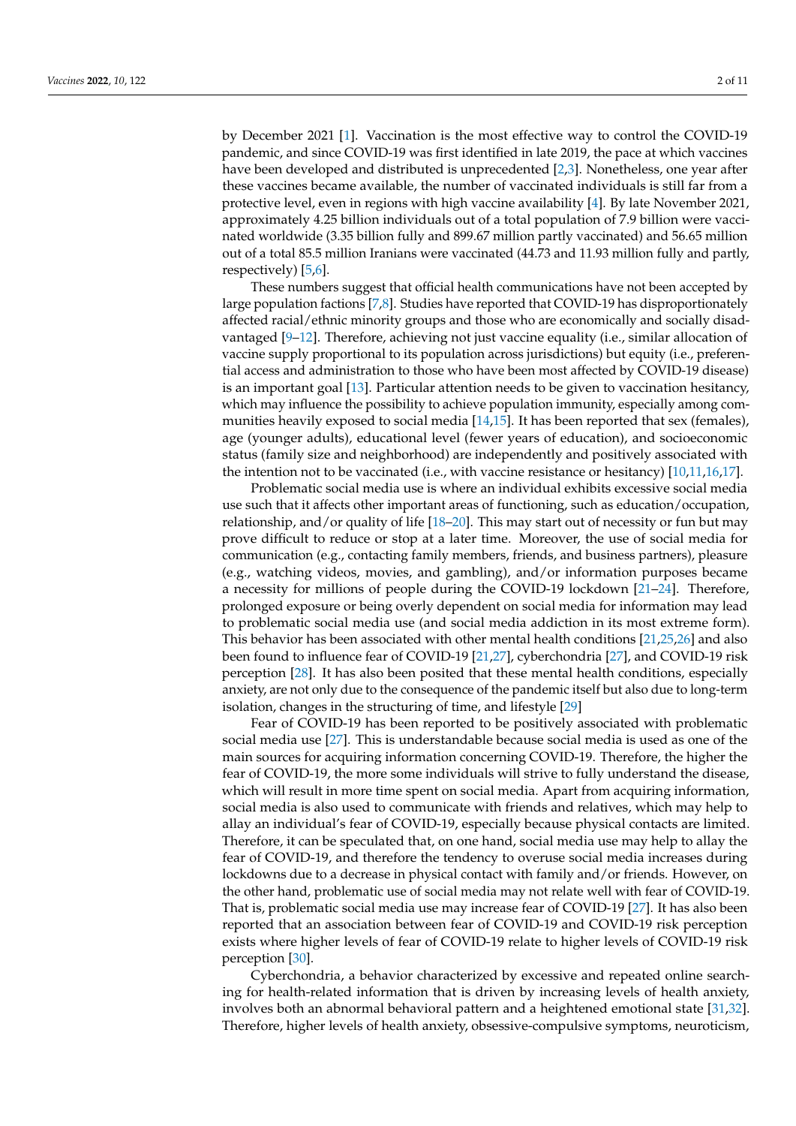by December 2021 [\[1\]](#page-8-0). Vaccination is the most effective way to control the COVID-19 pandemic, and since COVID-19 was first identified in late 2019, the pace at which vaccines have been developed and distributed is unprecedented [\[2,](#page-8-1)[3\]](#page-8-2). Nonetheless, one year after these vaccines became available, the number of vaccinated individuals is still far from a protective level, even in regions with high vaccine availability [\[4\]](#page-8-3). By late November 2021, approximately 4.25 billion individuals out of a total population of 7.9 billion were vaccinated worldwide (3.35 billion fully and 899.67 million partly vaccinated) and 56.65 million out of a total 85.5 million Iranians were vaccinated (44.73 and 11.93 million fully and partly, respectively) [\[5](#page-8-4)[,6\]](#page-8-5).

These numbers suggest that official health communications have not been accepted by large population factions [\[7,](#page-8-6)[8\]](#page-8-7). Studies have reported that COVID-19 has disproportionately affected racial/ethnic minority groups and those who are economically and socially disadvantaged [\[9–](#page-8-8)[12\]](#page-8-9). Therefore, achieving not just vaccine equality (i.e., similar allocation of vaccine supply proportional to its population across jurisdictions) but equity (i.e., preferential access and administration to those who have been most affected by COVID-19 disease) is an important goal [\[13\]](#page-8-10). Particular attention needs to be given to vaccination hesitancy, which may influence the possibility to achieve population immunity, especially among communities heavily exposed to social media [\[14](#page-8-11)[,15\]](#page-8-12). It has been reported that sex (females), age (younger adults), educational level (fewer years of education), and socioeconomic status (family size and neighborhood) are independently and positively associated with the intention not to be vaccinated (i.e., with vaccine resistance or hesitancy) [\[10,](#page-8-13)[11,](#page-8-14)[16](#page-8-15)[,17\]](#page-9-0).

Problematic social media use is where an individual exhibits excessive social media use such that it affects other important areas of functioning, such as education/occupation, relationship, and/or quality of life [\[18](#page-9-1)[–20\]](#page-9-2). This may start out of necessity or fun but may prove difficult to reduce or stop at a later time. Moreover, the use of social media for communication (e.g., contacting family members, friends, and business partners), pleasure (e.g., watching videos, movies, and gambling), and/or information purposes became a necessity for millions of people during the COVID-19 lockdown [\[21](#page-9-3)[–24\]](#page-9-4). Therefore, prolonged exposure or being overly dependent on social media for information may lead to problematic social media use (and social media addiction in its most extreme form). This behavior has been associated with other mental health conditions [\[21,](#page-9-3)[25,](#page-9-5)[26\]](#page-9-6) and also been found to influence fear of COVID-19 [\[21](#page-9-3)[,27\]](#page-9-7), cyberchondria [\[27\]](#page-9-7), and COVID-19 risk perception [\[28\]](#page-9-8). It has also been posited that these mental health conditions, especially anxiety, are not only due to the consequence of the pandemic itself but also due to long-term isolation, changes in the structuring of time, and lifestyle [\[29\]](#page-9-9)

Fear of COVID-19 has been reported to be positively associated with problematic social media use [\[27\]](#page-9-7). This is understandable because social media is used as one of the main sources for acquiring information concerning COVID-19. Therefore, the higher the fear of COVID-19, the more some individuals will strive to fully understand the disease, which will result in more time spent on social media. Apart from acquiring information, social media is also used to communicate with friends and relatives, which may help to allay an individual's fear of COVID-19, especially because physical contacts are limited. Therefore, it can be speculated that, on one hand, social media use may help to allay the fear of COVID-19, and therefore the tendency to overuse social media increases during lockdowns due to a decrease in physical contact with family and/or friends. However, on the other hand, problematic use of social media may not relate well with fear of COVID-19. That is, problematic social media use may increase fear of COVID-19 [\[27\]](#page-9-7). It has also been reported that an association between fear of COVID-19 and COVID-19 risk perception exists where higher levels of fear of COVID-19 relate to higher levels of COVID-19 risk perception [\[30\]](#page-9-10).

Cyberchondria, a behavior characterized by excessive and repeated online searching for health-related information that is driven by increasing levels of health anxiety, involves both an abnormal behavioral pattern and a heightened emotional state [\[31,](#page-9-11)[32\]](#page-9-12). Therefore, higher levels of health anxiety, obsessive-compulsive symptoms, neuroticism,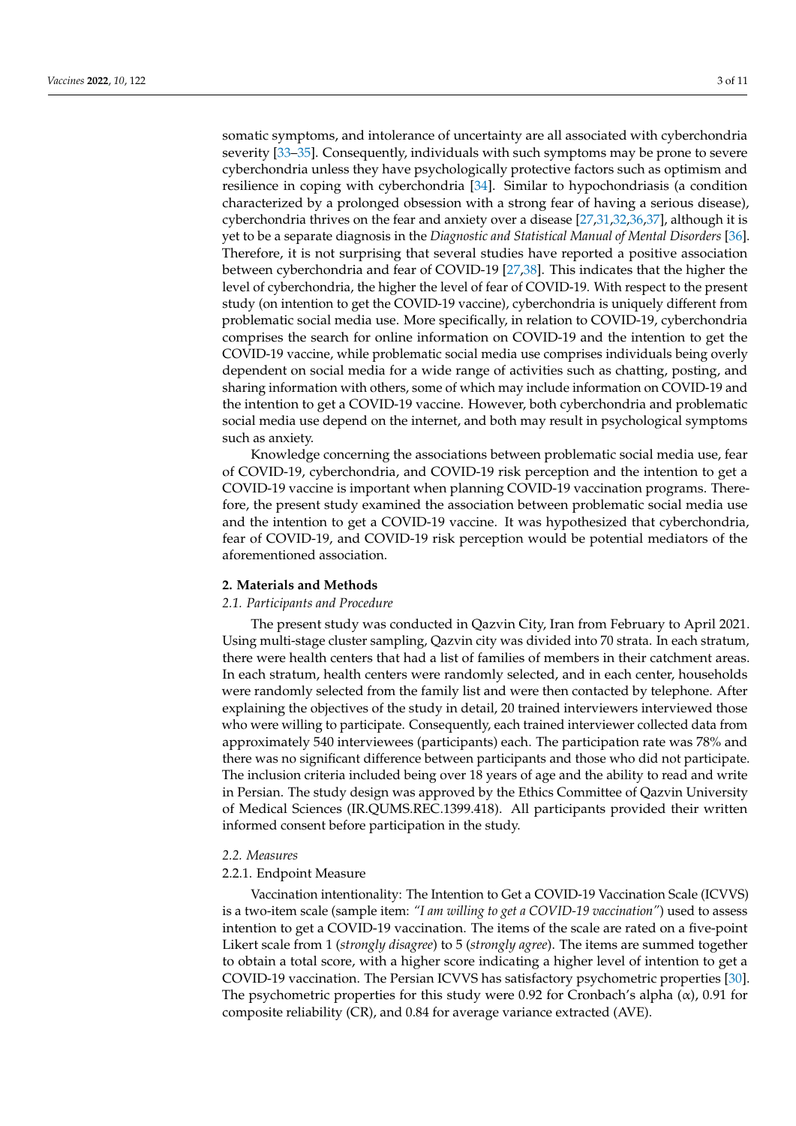somatic symptoms, and intolerance of uncertainty are all associated with cyberchondria severity [\[33–](#page-9-13)[35\]](#page-9-14). Consequently, individuals with such symptoms may be prone to severe cyberchondria unless they have psychologically protective factors such as optimism and resilience in coping with cyberchondria [\[34\]](#page-9-15). Similar to hypochondriasis (a condition characterized by a prolonged obsession with a strong fear of having a serious disease), cyberchondria thrives on the fear and anxiety over a disease [\[27](#page-9-7)[,31](#page-9-11)[,32](#page-9-12)[,36,](#page-9-16)[37\]](#page-9-17), although it is yet to be a separate diagnosis in the *Diagnostic and Statistical Manual of Mental Disorders* [\[36\]](#page-9-16). Therefore, it is not surprising that several studies have reported a positive association between cyberchondria and fear of COVID-19 [\[27](#page-9-7)[,38\]](#page-9-18). This indicates that the higher the level of cyberchondria, the higher the level of fear of COVID-19. With respect to the present study (on intention to get the COVID-19 vaccine), cyberchondria is uniquely different from problematic social media use. More specifically, in relation to COVID-19, cyberchondria comprises the search for online information on COVID-19 and the intention to get the COVID-19 vaccine, while problematic social media use comprises individuals being overly dependent on social media for a wide range of activities such as chatting, posting, and sharing information with others, some of which may include information on COVID-19 and the intention to get a COVID-19 vaccine. However, both cyberchondria and problematic social media use depend on the internet, and both may result in psychological symptoms such as anxiety.

Knowledge concerning the associations between problematic social media use, fear of COVID-19, cyberchondria, and COVID-19 risk perception and the intention to get a COVID-19 vaccine is important when planning COVID-19 vaccination programs. Therefore, the present study examined the association between problematic social media use and the intention to get a COVID-19 vaccine. It was hypothesized that cyberchondria, fear of COVID-19, and COVID-19 risk perception would be potential mediators of the aforementioned association.

## **2. Materials and Methods**

#### *2.1. Participants and Procedure*

The present study was conducted in Qazvin City, Iran from February to April 2021. Using multi-stage cluster sampling, Qazvin city was divided into 70 strata. In each stratum, there were health centers that had a list of families of members in their catchment areas. In each stratum, health centers were randomly selected, and in each center, households were randomly selected from the family list and were then contacted by telephone. After explaining the objectives of the study in detail, 20 trained interviewers interviewed those who were willing to participate. Consequently, each trained interviewer collected data from approximately 540 interviewees (participants) each. The participation rate was 78% and there was no significant difference between participants and those who did not participate. The inclusion criteria included being over 18 years of age and the ability to read and write in Persian. The study design was approved by the Ethics Committee of Qazvin University of Medical Sciences (IR.QUMS.REC.1399.418). All participants provided their written informed consent before participation in the study.

# *2.2. Measures*

#### 2.2.1. Endpoint Measure

Vaccination intentionality: The Intention to Get a COVID-19 Vaccination Scale (ICVVS) is a two-item scale (sample item: *"I am willing to get a COVID-19 vaccination"*) used to assess intention to get a COVID-19 vaccination. The items of the scale are rated on a five-point Likert scale from 1 (*strongly disagree*) to 5 (*strongly agree*). The items are summed together to obtain a total score, with a higher score indicating a higher level of intention to get a COVID-19 vaccination. The Persian ICVVS has satisfactory psychometric properties [\[30\]](#page-9-10). The psychometric properties for this study were 0.92 for Cronbach's alpha  $(\alpha)$ , 0.91 for composite reliability (CR), and 0.84 for average variance extracted (AVE).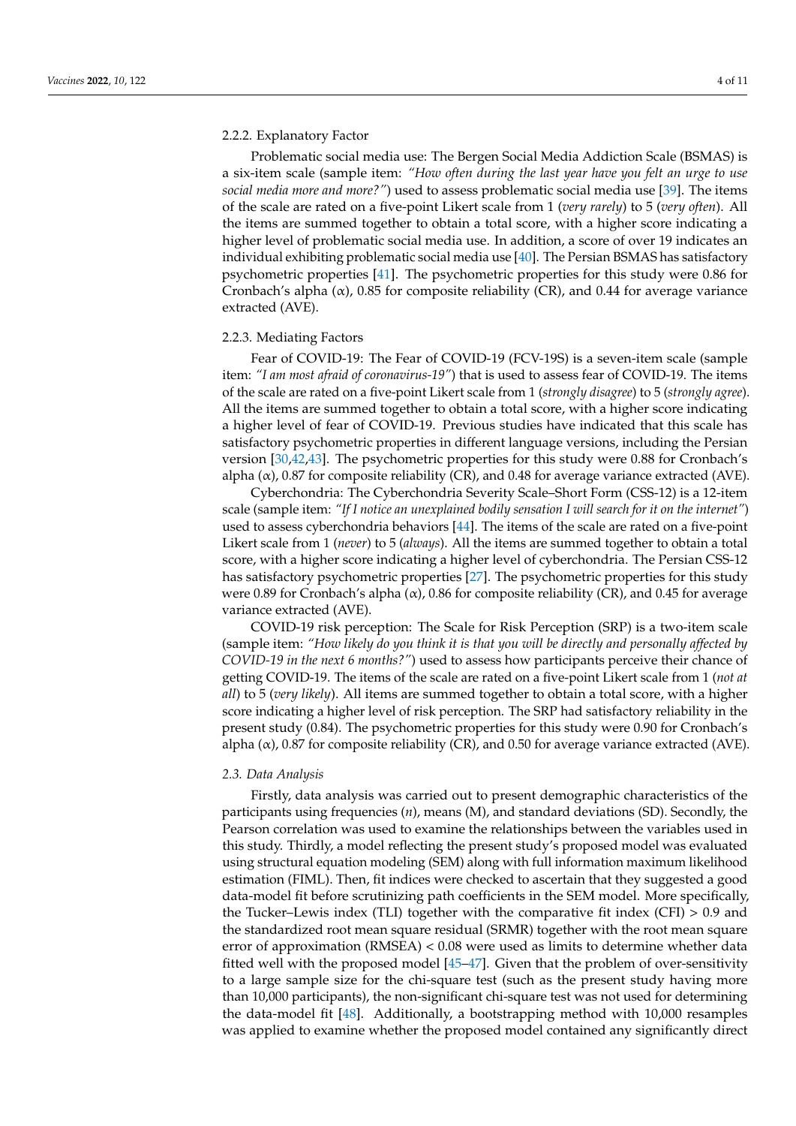# 2.2.2. Explanatory Factor

Problematic social media use: The Bergen Social Media Addiction Scale (BSMAS) is a six-item scale (sample item: *"How often during the last year have you felt an urge to use social media more and more?"*) used to assess problematic social media use [\[39\]](#page-9-19). The items of the scale are rated on a five-point Likert scale from 1 (*very rarely*) to 5 (*very often*). All the items are summed together to obtain a total score, with a higher score indicating a higher level of problematic social media use. In addition, a score of over 19 indicates an individual exhibiting problematic social media use [\[40\]](#page-9-20). The Persian BSMAS has satisfactory psychometric properties [\[41\]](#page-9-21). The psychometric properties for this study were 0.86 for Cronbach's alpha  $(\alpha)$ , 0.85 for composite reliability (CR), and 0.44 for average variance extracted (AVE).

# 2.2.3. Mediating Factors

Fear of COVID-19: The Fear of COVID-19 (FCV-19S) is a seven-item scale (sample item: *"I am most afraid of coronavirus-19"*) that is used to assess fear of COVID-19. The items of the scale are rated on a five-point Likert scale from 1 (*strongly disagree*) to 5 (*strongly agree*). All the items are summed together to obtain a total score, with a higher score indicating a higher level of fear of COVID-19. Previous studies have indicated that this scale has satisfactory psychometric properties in different language versions, including the Persian version [\[30,](#page-9-10)[42,](#page-10-0)[43\]](#page-10-1). The psychometric properties for this study were 0.88 for Cronbach's alpha  $(\alpha)$ , 0.87 for composite reliability (CR), and 0.48 for average variance extracted (AVE).

Cyberchondria: The Cyberchondria Severity Scale–Short Form (CSS-12) is a 12-item scale (sample item: *"If I notice an unexplained bodily sensation I will search for it on the internet"*) used to assess cyberchondria behaviors [\[44\]](#page-10-2). The items of the scale are rated on a five-point Likert scale from 1 (*never*) to 5 (*always*). All the items are summed together to obtain a total score, with a higher score indicating a higher level of cyberchondria. The Persian CSS-12 has satisfactory psychometric properties [\[27\]](#page-9-7). The psychometric properties for this study were 0.89 for Cronbach's alpha (α), 0.86 for composite reliability (CR), and 0.45 for average variance extracted (AVE).

COVID-19 risk perception: The Scale for Risk Perception (SRP) is a two-item scale (sample item: *"How likely do you think it is that you will be directly and personally affected by COVID-19 in the next 6 months?"*) used to assess how participants perceive their chance of getting COVID-19. The items of the scale are rated on a five-point Likert scale from 1 (*not at all*) to 5 (*very likely*). All items are summed together to obtain a total score, with a higher score indicating a higher level of risk perception. The SRP had satisfactory reliability in the present study (0.84). The psychometric properties for this study were 0.90 for Cronbach's alpha  $(\alpha)$ , 0.87 for composite reliability (CR), and 0.50 for average variance extracted (AVE).

#### *2.3. Data Analysis*

Firstly, data analysis was carried out to present demographic characteristics of the participants using frequencies  $(n)$ , means  $(M)$ , and standard deviations (SD). Secondly, the Pearson correlation was used to examine the relationships between the variables used in this study. Thirdly, a model reflecting the present study's proposed model was evaluated using structural equation modeling (SEM) along with full information maximum likelihood estimation (FIML). Then, fit indices were checked to ascertain that they suggested a good data-model fit before scrutinizing path coefficients in the SEM model. More specifically, the Tucker–Lewis index (TLI) together with the comparative fit index (CFI) > 0.9 and the standardized root mean square residual (SRMR) together with the root mean square error of approximation (RMSEA) < 0.08 were used as limits to determine whether data fitted well with the proposed model [\[45](#page-10-3)[–47\]](#page-10-4). Given that the problem of over-sensitivity to a large sample size for the chi-square test (such as the present study having more than 10,000 participants), the non-significant chi-square test was not used for determining the data-model fit [\[48\]](#page-10-5). Additionally, a bootstrapping method with 10,000 resamples was applied to examine whether the proposed model contained any significantly direct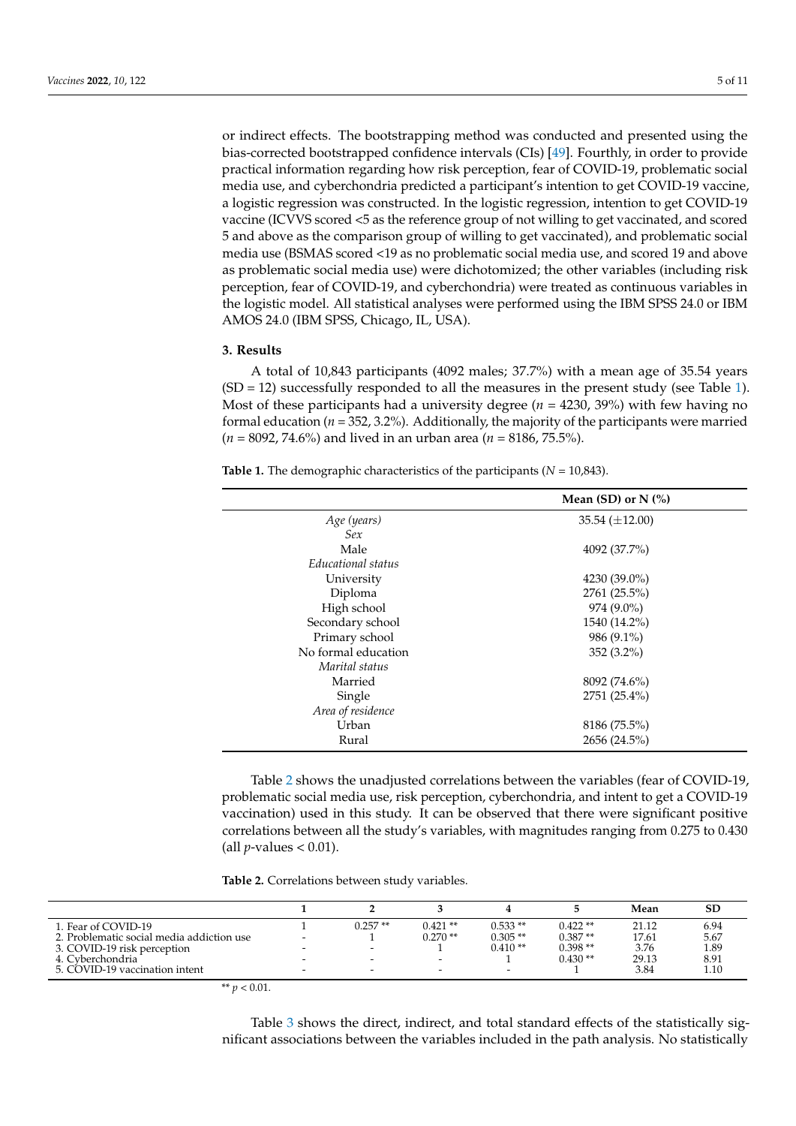or indirect effects. The bootstrapping method was conducted and presented using the bias-corrected bootstrapped confidence intervals (CIs) [\[49\]](#page-10-6). Fourthly, in order to provide practical information regarding how risk perception, fear of COVID-19, problematic social media use, and cyberchondria predicted a participant's intention to get COVID-19 vaccine, a logistic regression was constructed. In the logistic regression, intention to get COVID-19 vaccine (ICVVS scored <5 as the reference group of not willing to get vaccinated, and scored 5 and above as the comparison group of willing to get vaccinated), and problematic social media use (BSMAS scored <19 as no problematic social media use, and scored 19 and above as problematic social media use) were dichotomized; the other variables (including risk perception, fear of COVID-19, and cyberchondria) were treated as continuous variables in the logistic model. All statistical analyses were performed using the IBM SPSS 24.0 or IBM AMOS 24.0 (IBM SPSS, Chicago, IL, USA).

# **3. Results**

A total of 10,843 participants (4092 males; 37.7%) with a mean age of 35.54 years  $(SD = 12)$  successfully responded to all the measures in the present study (see Table [1\)](#page-4-0). Most of these participants had a university degree (*n* = 4230, 39%) with few having no formal education  $(n = 352, 3.2\%)$ . Additionally, the majority of the participants were married (*n* = 8092, 74.6%) and lived in an urban area (*n* = 8186, 75.5%).

|                     | Mean (SD) or $N$ (%)  |  |  |  |
|---------------------|-----------------------|--|--|--|
| Age (years)         | $35.54 \ (\pm 12.00)$ |  |  |  |
| Sex                 |                       |  |  |  |
| Male                | 4092 (37.7%)          |  |  |  |
| Educational status  |                       |  |  |  |
| University          | $4230(39.0\%)$        |  |  |  |
| Diploma             | 2761 (25.5%)          |  |  |  |
| High school         | 974 (9.0%)            |  |  |  |
| Secondary school    | 1540 (14.2%)          |  |  |  |
| Primary school      | 986 (9.1%)            |  |  |  |
| No formal education | $352(3.2\%)$          |  |  |  |
| Marital status      |                       |  |  |  |
| Married             | 8092 (74.6%)          |  |  |  |
| Single              | $2751(25.4\%)$        |  |  |  |
| Area of residence   |                       |  |  |  |
| Urban               | 8186 (75.5%)          |  |  |  |
| Rural               | 2656 (24.5%)          |  |  |  |

<span id="page-4-0"></span>**Table 1.** The demographic characteristics of the participants (*N* = 10,843).

Table [2](#page-4-1) shows the unadjusted correlations between the variables (fear of COVID-19, problematic social media use, risk perception, cyberchondria, and intent to get a COVID-19 vaccination) used in this study. It can be observed that there were significant positive correlations between all the study's variables, with magnitudes ranging from 0.275 to 0.430 (all  $p$ -values  $< 0.01$ ).

<span id="page-4-1"></span>**Table 2.** Correlations between study variables.

|                                           |   |                          |                          |                          |           | Mean  | SD   |
|-------------------------------------------|---|--------------------------|--------------------------|--------------------------|-----------|-------|------|
| 1. Fear of COVID-19                       |   | $0.257**$                | $0.421**$                | $0.533**$                | $0.422**$ | 21.12 | 6.94 |
| 2. Problematic social media addiction use | - |                          | $0.270**$                | $0.305**$                | $0.387**$ | 17.61 | 5.67 |
| 3. COVID-19 risk perception               |   |                          |                          | $0.410**$                | $0.398**$ | 3.76  | 1.89 |
| 4. Cyberchondria                          |   |                          | -                        |                          | $0.430**$ | 29.13 | 8.91 |
| 5. COVID-19 vaccination intent            | - | $\overline{\phantom{a}}$ | $\overline{\phantom{0}}$ | $\overline{\phantom{0}}$ |           | 3.84  | 1.10 |

\*\*  $p < 0.01$ .

Table [3](#page-5-0) shows the direct, indirect, and total standard effects of the statistically significant associations between the variables included in the path analysis. No statistically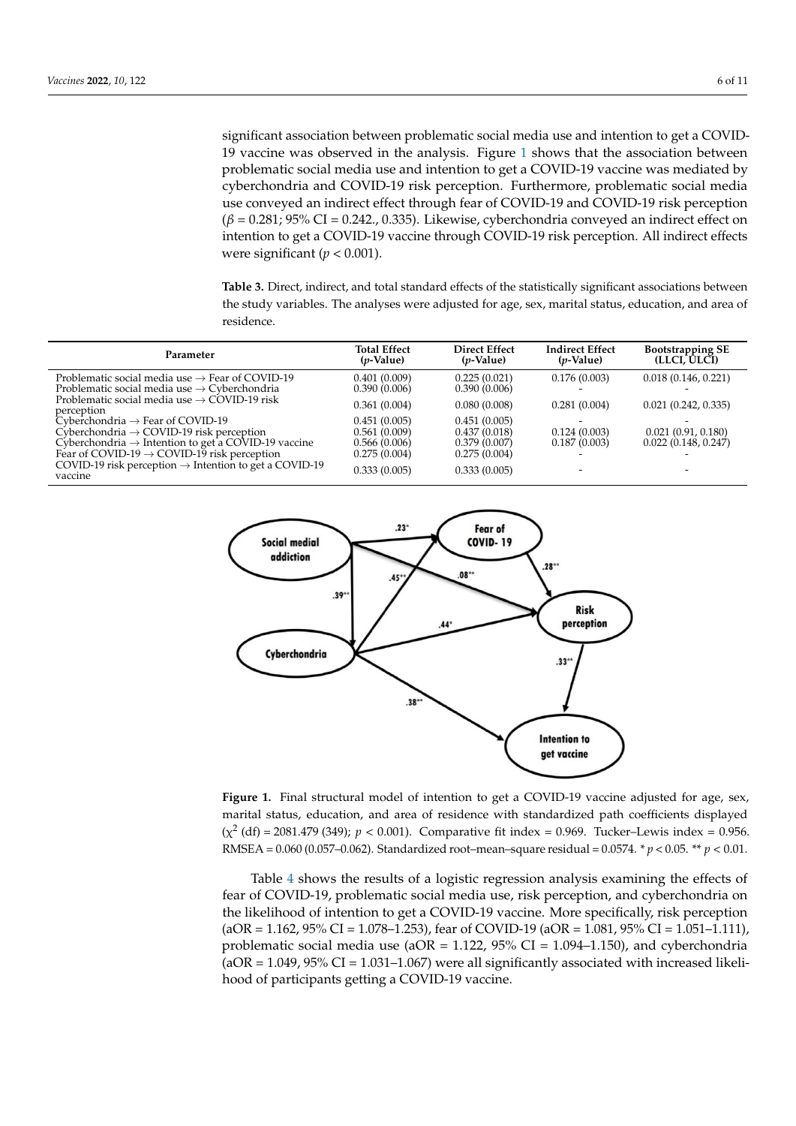significant association between problematic social media use and intention to get a COVID-19 vaccine was observed in the analysis. Figure [1](#page-5-1) shows that the association between problematic social media use and intention to get a COVID-19 vaccine was mediated by cyberchondria and COVID-19 risk perception. Furthermore, problematic social media use conveyed an indirect effect through fear of COVID-19 and COVID-19 risk perception (*β* = 0.281; 95% CI = 0.242., 0.335). Likewise, cyberchondria conveyed an indirect effect on intention to get a COVID-19 vaccine through COVID-19 risk perception. All indirect effects were significant (*p* < 0.001).

<span id="page-5-0"></span>**Table 3.** Direct, indirect, and total standard effects of the statistically significant associations between the study variables. The analyses were adjusted for age, sex, marital status, education, and area of residence.

| Parameter                                                                                                               | <b>Total Effect</b><br>( <i>p</i> -Value) | <b>Direct Effect</b><br>$(p\text{-Value})$ | <b>Indirect Effect</b><br>$(p\text{-Value})$ | <b>Bootstrapping SE</b><br>(LLCI, ULCI) |
|-------------------------------------------------------------------------------------------------------------------------|-------------------------------------------|--------------------------------------------|----------------------------------------------|-----------------------------------------|
| Problematic social media use $\rightarrow$ Fear of COVID-19<br>Problematic social media use $\rightarrow$ Cyberchondria | 0.401(0.009)<br>0.390(0.006)              | 0.225(0.021)<br>0.390(0.006)               | 0.176(0.003)                                 | 0.018(0.146, 0.221)                     |
| Problematic social media use $\rightarrow$ COVID-19 risk<br>perception                                                  | 0.361(0.004)                              | 0.080(0.008)                               | 0.281(0.004)                                 | 0.021(0.242, 0.335)                     |
| $Cvberchondria \rightarrow Fear of COVID-19$                                                                            | 0.451(0.005)                              | 0.451(0.005)                               |                                              |                                         |
| Cyberchondria $\rightarrow$ COVID-19 risk perception                                                                    | 0.561(0.009)                              | 0.437(0.018)                               | 0.124(0.003)                                 | 0.021(0.91, 0.180)                      |
| Cyberchondria $\rightarrow$ Intention to get a COVID-19 vaccine                                                         | 0.566(0.006)                              | 0.379(0.007)                               | 0.187(0.003)                                 | 0.022(0.148, 0.247)                     |
| Fear of COVID-19 $\rightarrow$ COVID-19 risk perception                                                                 | 0.275(0.004)                              | 0.275(0.004)                               |                                              |                                         |
| COVID-19 risk perception $\rightarrow$ Intention to get a COVID-19<br>vaccine                                           | 0.333(0.005)                              | 0.333(0.005)                               |                                              | -                                       |

<span id="page-5-1"></span>

**Figure 1.** Final structural model of intention to get a COVID-19 vaccine adjusted for age, sex,  $(x^2 (df) = 2081.479 (349); p < 0.001$ ). Comparative fit index = 0.969. Tucker–Lewis index = 0.956. 2 marital status, education, and area of residence with standardized path coefficients displayed  $2081.481.48999$  ( $2081.6987.9999$ ). Comparative fit index = 0.969. Tutker–Lewis index = 0.966. RMSEA = 0.060. RMSEA = 0.060. RMSEA = 0.060. RMSEA = 0.060. RMSEA = 0.060. RMSEA = 0.060. RMSEA = 0.060. RMSEA = 0.060. RMSEA (0.057–0.062). Standardized root–mean–square residual = 0.0574. \* *p* < 0.05. \*\* *p* < 0.01. RMSEA = 0.060 (0.057–0.062). Standardized root–mean–square residual = 0.0574. \* *p* < 0.05. \*\* *p* < 0.01.

Table 4 shows the results of a logistic regression analysis examining the effects of fear fear of COVID-19, problematic social media use, risk perception, and cyberchondria on of COVID-19, problematic social media use, risk perception, and cyberchondria on the the likelihood of intention to get a COVID-19 vaccine. More specifically, risk perception (aOR = 1.162, 95% CI = 1.078–1.253), fear of COVID-19 (aOR = 1.081, 95% CI = 1.051–1.111), problematic social media use  $(aOR = 1.122, 95\% \text{ CI} = 1.094-1.150)$ , and cyberchondria  $\mu$ (aOR = 1.049, 95% CI = 1.031–1.067) were all significantly associated with increased likeli- $\frac{1}{2}$  hood of participants getting a COVID-19 vaccine  $\frac{1}{1}$  is determined. Table [4](#page-6-0) shows the results of a logistic regression analysis examining the effects of hood of participants getting a COVID-19 vaccine.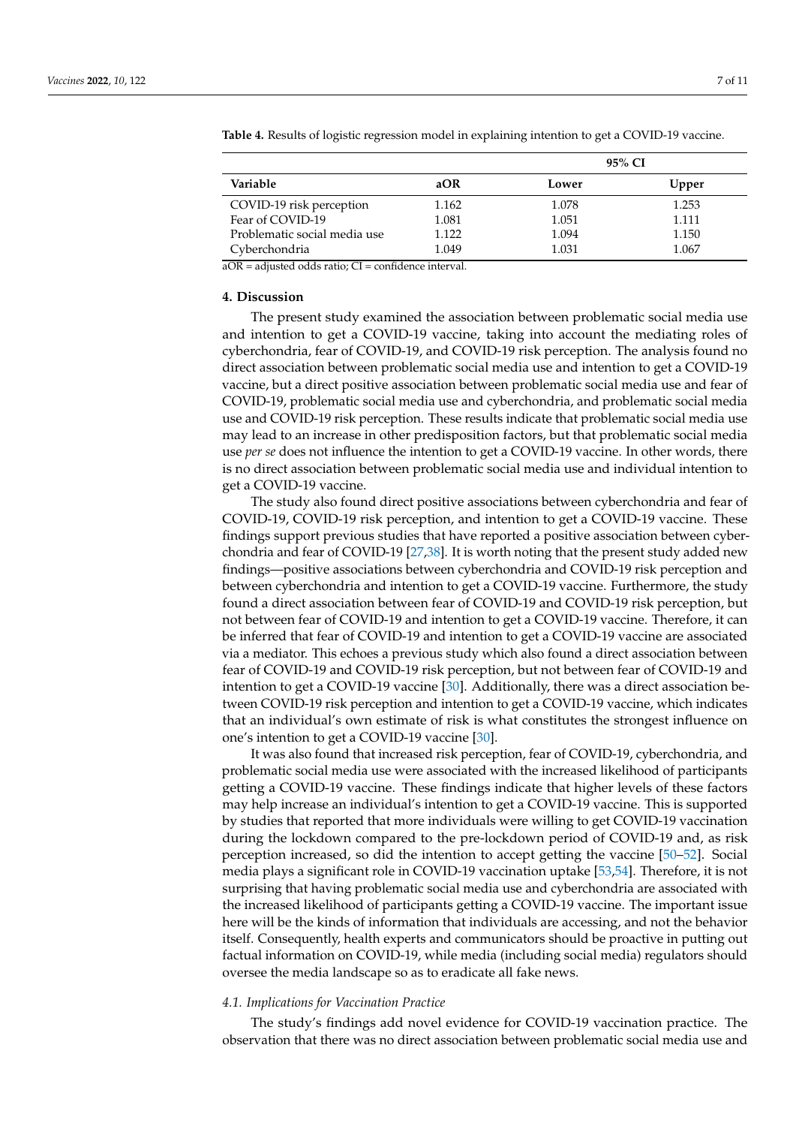| Variable                                                             |       |       | 95% CI |
|----------------------------------------------------------------------|-------|-------|--------|
|                                                                      | aOR   | Lower | Upper  |
| COVID-19 risk perception                                             | 1.162 | 1.078 | 1.253  |
| Fear of COVID-19                                                     | 1.081 | 1.051 | 1.111  |
| Problematic social media use                                         | 1.122 | 1.094 | 1.150  |
| Cyberchondria<br>.<br>$\sim$ $\sim$<br>$\sim$ $\sim$<br>$\mathbf{u}$ | 1.049 | 1.031 | 1.067  |

<span id="page-6-0"></span>**Table 4.** Results of logistic regression model in explaining intention to get a COVID-19 vaccine.

aOR = adjusted odds ratio; CI = confidence interval.

#### **4. Discussion**

The present study examined the association between problematic social media use and intention to get a COVID-19 vaccine, taking into account the mediating roles of cyberchondria, fear of COVID-19, and COVID-19 risk perception. The analysis found no direct association between problematic social media use and intention to get a COVID-19 vaccine, but a direct positive association between problematic social media use and fear of COVID-19, problematic social media use and cyberchondria, and problematic social media use and COVID-19 risk perception. These results indicate that problematic social media use may lead to an increase in other predisposition factors, but that problematic social media use *per se* does not influence the intention to get a COVID-19 vaccine. In other words, there is no direct association between problematic social media use and individual intention to get a COVID-19 vaccine.

The study also found direct positive associations between cyberchondria and fear of COVID-19, COVID-19 risk perception, and intention to get a COVID-19 vaccine. These findings support previous studies that have reported a positive association between cyberchondria and fear of COVID-19 [\[27](#page-9-7)[,38\]](#page-9-18). It is worth noting that the present study added new findings—positive associations between cyberchondria and COVID-19 risk perception and between cyberchondria and intention to get a COVID-19 vaccine. Furthermore, the study found a direct association between fear of COVID-19 and COVID-19 risk perception, but not between fear of COVID-19 and intention to get a COVID-19 vaccine. Therefore, it can be inferred that fear of COVID-19 and intention to get a COVID-19 vaccine are associated via a mediator. This echoes a previous study which also found a direct association between fear of COVID-19 and COVID-19 risk perception, but not between fear of COVID-19 and intention to get a COVID-19 vaccine [\[30\]](#page-9-10). Additionally, there was a direct association between COVID-19 risk perception and intention to get a COVID-19 vaccine, which indicates that an individual's own estimate of risk is what constitutes the strongest influence on one's intention to get a COVID-19 vaccine [\[30\]](#page-9-10).

It was also found that increased risk perception, fear of COVID-19, cyberchondria, and problematic social media use were associated with the increased likelihood of participants getting a COVID-19 vaccine. These findings indicate that higher levels of these factors may help increase an individual's intention to get a COVID-19 vaccine. This is supported by studies that reported that more individuals were willing to get COVID-19 vaccination during the lockdown compared to the pre-lockdown period of COVID-19 and, as risk perception increased, so did the intention to accept getting the vaccine [\[50](#page-10-7)[–52\]](#page-10-8). Social media plays a significant role in COVID-19 vaccination uptake [\[53,](#page-10-9)[54\]](#page-10-10). Therefore, it is not surprising that having problematic social media use and cyberchondria are associated with the increased likelihood of participants getting a COVID-19 vaccine. The important issue here will be the kinds of information that individuals are accessing, and not the behavior itself. Consequently, health experts and communicators should be proactive in putting out factual information on COVID-19, while media (including social media) regulators should oversee the media landscape so as to eradicate all fake news.

# *4.1. Implications for Vaccination Practice*

The study's findings add novel evidence for COVID-19 vaccination practice. The observation that there was no direct association between problematic social media use and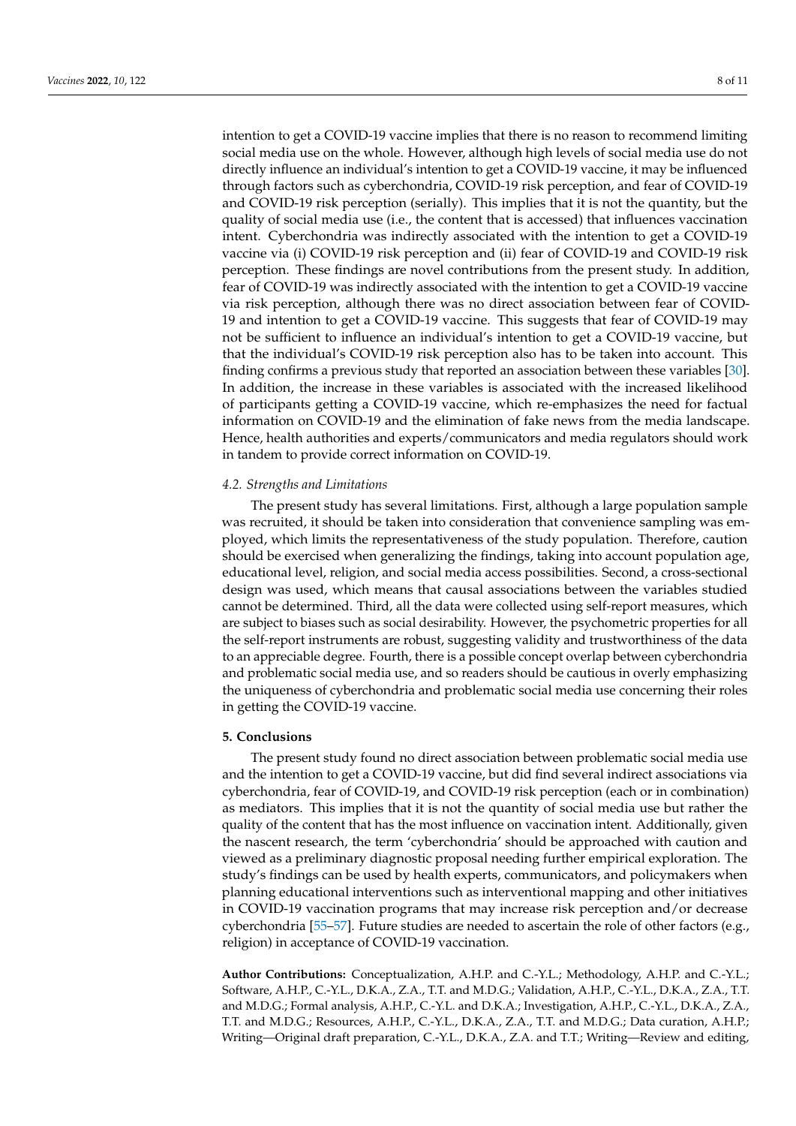intention to get a COVID-19 vaccine implies that there is no reason to recommend limiting social media use on the whole. However, although high levels of social media use do not directly influence an individual's intention to get a COVID-19 vaccine, it may be influenced through factors such as cyberchondria, COVID-19 risk perception, and fear of COVID-19 and COVID-19 risk perception (serially). This implies that it is not the quantity, but the quality of social media use (i.e., the content that is accessed) that influences vaccination intent. Cyberchondria was indirectly associated with the intention to get a COVID-19 vaccine via (i) COVID-19 risk perception and (ii) fear of COVID-19 and COVID-19 risk perception. These findings are novel contributions from the present study. In addition, fear of COVID-19 was indirectly associated with the intention to get a COVID-19 vaccine via risk perception, although there was no direct association between fear of COVID-19 and intention to get a COVID-19 vaccine. This suggests that fear of COVID-19 may not be sufficient to influence an individual's intention to get a COVID-19 vaccine, but that the individual's COVID-19 risk perception also has to be taken into account. This finding confirms a previous study that reported an association between these variables [\[30\]](#page-9-10). In addition, the increase in these variables is associated with the increased likelihood of participants getting a COVID-19 vaccine, which re-emphasizes the need for factual information on COVID-19 and the elimination of fake news from the media landscape. Hence, health authorities and experts/communicators and media regulators should work in tandem to provide correct information on COVID-19.

# *4.2. Strengths and Limitations*

The present study has several limitations. First, although a large population sample was recruited, it should be taken into consideration that convenience sampling was employed, which limits the representativeness of the study population. Therefore, caution should be exercised when generalizing the findings, taking into account population age, educational level, religion, and social media access possibilities. Second, a cross-sectional design was used, which means that causal associations between the variables studied cannot be determined. Third, all the data were collected using self-report measures, which are subject to biases such as social desirability. However, the psychometric properties for all the self-report instruments are robust, suggesting validity and trustworthiness of the data to an appreciable degree. Fourth, there is a possible concept overlap between cyberchondria and problematic social media use, and so readers should be cautious in overly emphasizing the uniqueness of cyberchondria and problematic social media use concerning their roles in getting the COVID-19 vaccine.

# **5. Conclusions**

The present study found no direct association between problematic social media use and the intention to get a COVID-19 vaccine, but did find several indirect associations via cyberchondria, fear of COVID-19, and COVID-19 risk perception (each or in combination) as mediators. This implies that it is not the quantity of social media use but rather the quality of the content that has the most influence on vaccination intent. Additionally, given the nascent research, the term 'cyberchondria' should be approached with caution and viewed as a preliminary diagnostic proposal needing further empirical exploration. The study's findings can be used by health experts, communicators, and policymakers when planning educational interventions such as interventional mapping and other initiatives in COVID-19 vaccination programs that may increase risk perception and/or decrease cyberchondria [\[55–](#page-10-11)[57\]](#page-10-12). Future studies are needed to ascertain the role of other factors (e.g., religion) in acceptance of COVID-19 vaccination.

**Author Contributions:** Conceptualization, A.H.P. and C.-Y.L.; Methodology, A.H.P. and C.-Y.L.; Software, A.H.P., C.-Y.L., D.K.A., Z.A., T.T. and M.D.G.; Validation, A.H.P., C.-Y.L., D.K.A., Z.A., T.T. and M.D.G.; Formal analysis, A.H.P., C.-Y.L. and D.K.A.; Investigation, A.H.P., C.-Y.L., D.K.A., Z.A., T.T. and M.D.G.; Resources, A.H.P., C.-Y.L., D.K.A., Z.A., T.T. and M.D.G.; Data curation, A.H.P.; Writing—Original draft preparation, C.-Y.L., D.K.A., Z.A. and T.T.; Writing—Review and editing,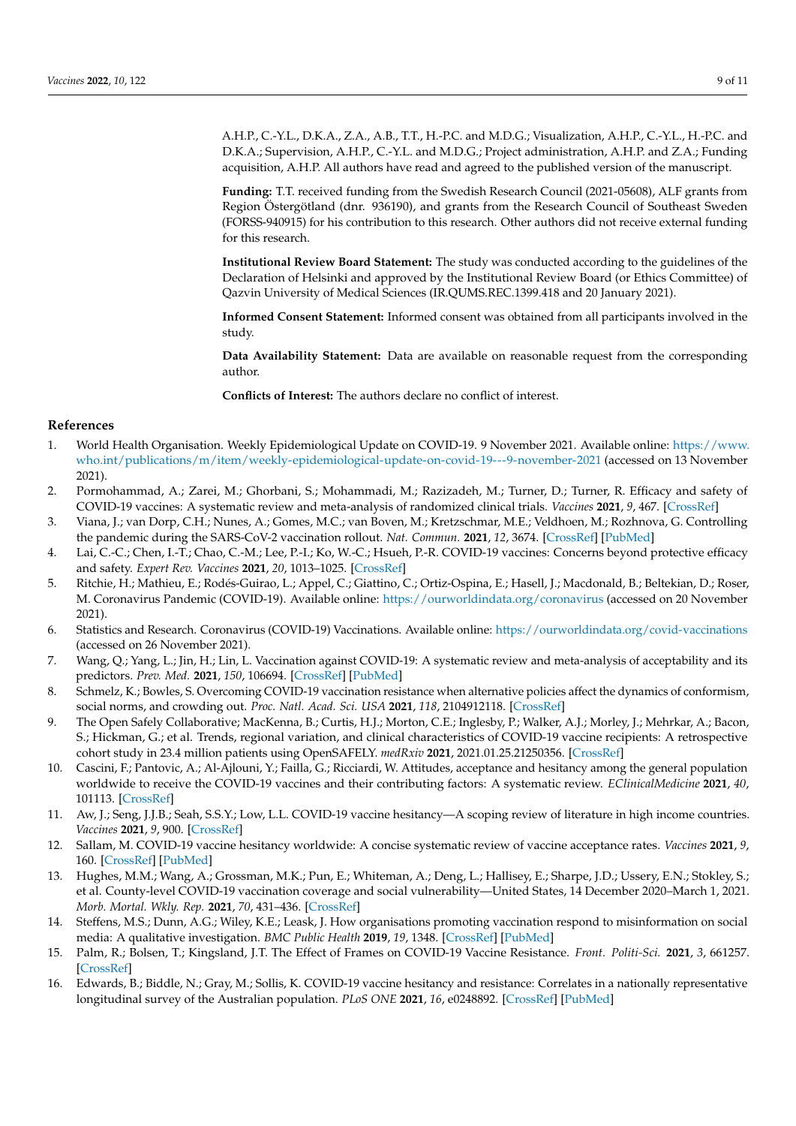A.H.P., C.-Y.L., D.K.A., Z.A., A.B., T.T., H.-P.C. and M.D.G.; Visualization, A.H.P., C.-Y.L., H.-P.C. and D.K.A.; Supervision, A.H.P., C.-Y.L. and M.D.G.; Project administration, A.H.P. and Z.A.; Funding acquisition, A.H.P. All authors have read and agreed to the published version of the manuscript.

**Funding:** T.T. received funding from the Swedish Research Council (2021-05608), ALF grants from Region Östergötland (dnr. 936190), and grants from the Research Council of Southeast Sweden (FORSS-940915) for his contribution to this research. Other authors did not receive external funding for this research.

**Institutional Review Board Statement:** The study was conducted according to the guidelines of the Declaration of Helsinki and approved by the Institutional Review Board (or Ethics Committee) of Qazvin University of Medical Sciences (IR.QUMS.REC.1399.418 and 20 January 2021).

**Informed Consent Statement:** Informed consent was obtained from all participants involved in the study.

**Data Availability Statement:** Data are available on reasonable request from the corresponding author.

**Conflicts of Interest:** The authors declare no conflict of interest.

# **References**

- <span id="page-8-0"></span>1. World Health Organisation. Weekly Epidemiological Update on COVID-19. 9 November 2021. Available online: [https://www.](https://www.who.int/publications/m/item/weekly-epidemiological-update-on-covid-19---9-november-2021) [who.int/publications/m/item/weekly-epidemiological-update-on-covid-19---9-november-2021](https://www.who.int/publications/m/item/weekly-epidemiological-update-on-covid-19---9-november-2021) (accessed on 13 November 2021).
- <span id="page-8-1"></span>2. Pormohammad, A.; Zarei, M.; Ghorbani, S.; Mohammadi, M.; Razizadeh, M.; Turner, D.; Turner, R. Efficacy and safety of COVID-19 vaccines: A systematic review and meta-analysis of randomized clinical trials. *Vaccines* **2021**, *9*, 467. [\[CrossRef\]](http://doi.org/10.3390/vaccines9050467)
- <span id="page-8-2"></span>3. Viana, J.; van Dorp, C.H.; Nunes, A.; Gomes, M.C.; van Boven, M.; Kretzschmar, M.E.; Veldhoen, M.; Rozhnova, G. Controlling the pandemic during the SARS-CoV-2 vaccination rollout. *Nat. Commun.* **2021**, *12*, 3674. [\[CrossRef\]](http://doi.org/10.1038/s41467-021-23938-8) [\[PubMed\]](http://www.ncbi.nlm.nih.gov/pubmed/34135335)
- <span id="page-8-3"></span>4. Lai, C.-C.; Chen, I.-T.; Chao, C.-M.; Lee, P.-I.; Ko, W.-C.; Hsueh, P.-R. COVID-19 vaccines: Concerns beyond protective efficacy and safety. *Expert Rev. Vaccines* **2021**, *20*, 1013–1025. [\[CrossRef\]](http://doi.org/10.1080/14760584.2021.1949293)
- <span id="page-8-4"></span>5. Ritchie, H.; Mathieu, E.; Rodés-Guirao, L.; Appel, C.; Giattino, C.; Ortiz-Ospina, E.; Hasell, J.; Macdonald, B.; Beltekian, D.; Roser, M. Coronavirus Pandemic (COVID-19). Available online: <https://ourworldindata.org/coronavirus> (accessed on 20 November 2021).
- <span id="page-8-5"></span>6. Statistics and Research. Coronavirus (COVID-19) Vaccinations. Available online: <https://ourworldindata.org/covid-vaccinations> (accessed on 26 November 2021).
- <span id="page-8-6"></span>7. Wang, Q.; Yang, L.; Jin, H.; Lin, L. Vaccination against COVID-19: A systematic review and meta-analysis of acceptability and its predictors. *Prev. Med.* **2021**, *150*, 106694. [\[CrossRef\]](http://doi.org/10.1016/j.ypmed.2021.106694) [\[PubMed\]](http://www.ncbi.nlm.nih.gov/pubmed/34171345)
- <span id="page-8-7"></span>8. Schmelz, K.; Bowles, S. Overcoming COVID-19 vaccination resistance when alternative policies affect the dynamics of conformism, social norms, and crowding out. *Proc. Natl. Acad. Sci. USA* **2021**, *118*, 2104912118. [\[CrossRef\]](http://doi.org/10.1073/pnas.2104912118)
- <span id="page-8-8"></span>9. The Open Safely Collaborative; MacKenna, B.; Curtis, H.J.; Morton, C.E.; Inglesby, P.; Walker, A.J.; Morley, J.; Mehrkar, A.; Bacon, S.; Hickman, G.; et al. Trends, regional variation, and clinical characteristics of COVID-19 vaccine recipients: A retrospective cohort study in 23.4 million patients using OpenSAFELY. *medRxiv* **2021**, 2021.01.25.21250356. [\[CrossRef\]](http://doi.org/10.1101/2021.01.25.21250356)
- <span id="page-8-13"></span>10. Cascini, F.; Pantovic, A.; Al-Ajlouni, Y.; Failla, G.; Ricciardi, W. Attitudes, acceptance and hesitancy among the general population worldwide to receive the COVID-19 vaccines and their contributing factors: A systematic review. *EClinicalMedicine* **2021**, *40*, 101113. [\[CrossRef\]](http://doi.org/10.1016/j.eclinm.2021.101113)
- <span id="page-8-14"></span>11. Aw, J.; Seng, J.J.B.; Seah, S.S.Y.; Low, L.L. COVID-19 vaccine hesitancy—A scoping review of literature in high income countries. *Vaccines* **2021**, *9*, 900. [\[CrossRef\]](http://doi.org/10.3390/vaccines9080900)
- <span id="page-8-9"></span>12. Sallam, M. COVID-19 vaccine hesitancy worldwide: A concise systematic review of vaccine acceptance rates. *Vaccines* **2021**, *9*, 160. [\[CrossRef\]](http://doi.org/10.3390/vaccines9020160) [\[PubMed\]](http://www.ncbi.nlm.nih.gov/pubmed/33669441)
- <span id="page-8-10"></span>13. Hughes, M.M.; Wang, A.; Grossman, M.K.; Pun, E.; Whiteman, A.; Deng, L.; Hallisey, E.; Sharpe, J.D.; Ussery, E.N.; Stokley, S.; et al. County-level COVID-19 vaccination coverage and social vulnerability—United States, 14 December 2020–March 1, 2021. *Morb. Mortal. Wkly. Rep.* **2021**, *70*, 431–436. [\[CrossRef\]](http://doi.org/10.15585/mmwr.mm7012e1)
- <span id="page-8-11"></span>14. Steffens, M.S.; Dunn, A.G.; Wiley, K.E.; Leask, J. How organisations promoting vaccination respond to misinformation on social media: A qualitative investigation. *BMC Public Health* **2019**, *19*, 1348. [\[CrossRef\]](http://doi.org/10.1186/s12889-019-7659-3) [\[PubMed\]](http://www.ncbi.nlm.nih.gov/pubmed/31640660)
- <span id="page-8-12"></span>15. Palm, R.; Bolsen, T.; Kingsland, J.T. The Effect of Frames on COVID-19 Vaccine Resistance. *Front. Politi-Sci.* **2021**, *3*, 661257. [\[CrossRef\]](http://doi.org/10.3389/fpos.2021.661257)
- <span id="page-8-15"></span>16. Edwards, B.; Biddle, N.; Gray, M.; Sollis, K. COVID-19 vaccine hesitancy and resistance: Correlates in a nationally representative longitudinal survey of the Australian population. *PLoS ONE* **2021**, *16*, e0248892. [\[CrossRef\]](http://doi.org/10.1371/journal.pone.0248892) [\[PubMed\]](http://www.ncbi.nlm.nih.gov/pubmed/33760836)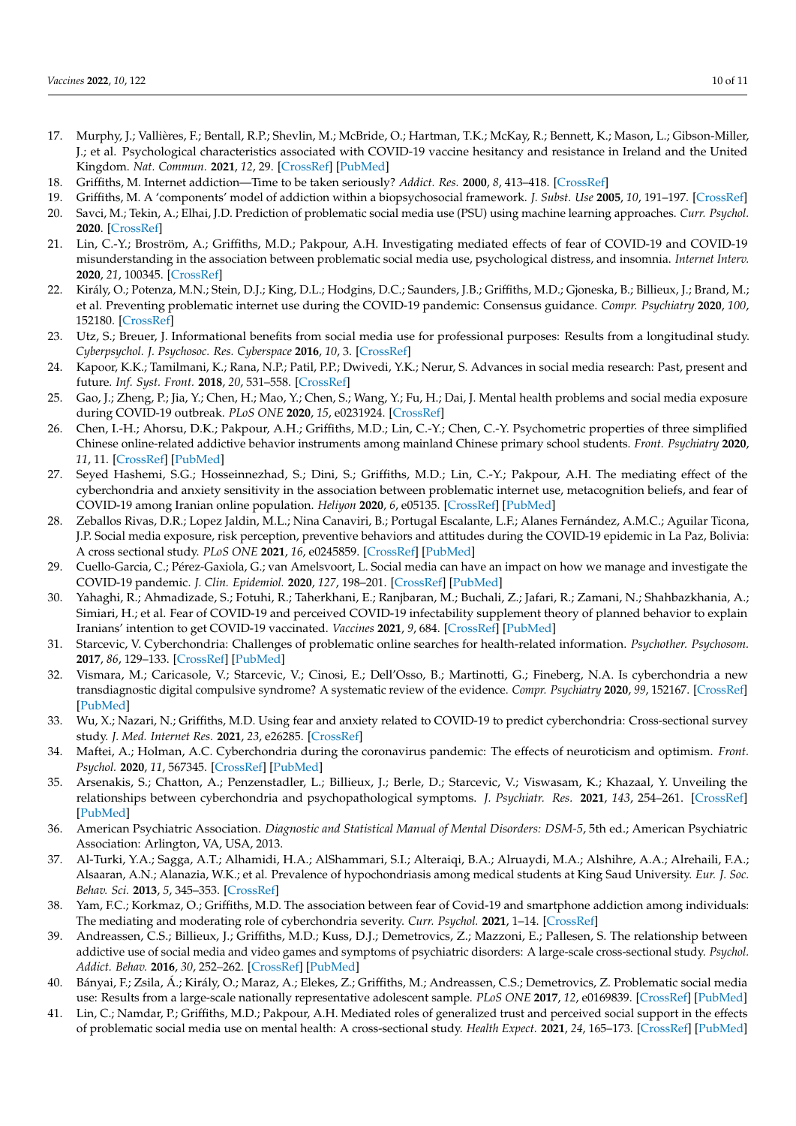- <span id="page-9-0"></span>17. Murphy, J.; Vallières, F.; Bentall, R.P.; Shevlin, M.; McBride, O.; Hartman, T.K.; McKay, R.; Bennett, K.; Mason, L.; Gibson-Miller, J.; et al. Psychological characteristics associated with COVID-19 vaccine hesitancy and resistance in Ireland and the United Kingdom. *Nat. Commun.* **2021**, *12*, 29. [\[CrossRef\]](http://doi.org/10.1038/s41467-020-20226-9) [\[PubMed\]](http://www.ncbi.nlm.nih.gov/pubmed/33397962)
- <span id="page-9-1"></span>18. Griffiths, M. Internet addiction—Time to be taken seriously? *Addict. Res.* **2000**, *8*, 413–418. [\[CrossRef\]](http://doi.org/10.3109/16066350009005587)
- 19. Griffiths, M. A 'components' model of addiction within a biopsychosocial framework. *J. Subst. Use* **2005**, *10*, 191–197. [\[CrossRef\]](http://doi.org/10.1080/14659890500114359)
- <span id="page-9-2"></span>20. Savci, M.; Tekin, A.; Elhai, J.D. Prediction of problematic social media use (PSU) using machine learning approaches. *Curr. Psychol.* **2020**. [\[CrossRef\]](http://doi.org/10.1007/s12144-020-00794-1)
- <span id="page-9-3"></span>21. Lin, C.-Y.; Broström, A.; Griffiths, M.D.; Pakpour, A.H. Investigating mediated effects of fear of COVID-19 and COVID-19 misunderstanding in the association between problematic social media use, psychological distress, and insomnia. *Internet Interv.* **2020**, *21*, 100345. [\[CrossRef\]](http://doi.org/10.1016/j.invent.2020.100345)
- 22. Király, O.; Potenza, M.N.; Stein, D.J.; King, D.L.; Hodgins, D.C.; Saunders, J.B.; Griffiths, M.D.; Gjoneska, B.; Billieux, J.; Brand, M.; et al. Preventing problematic internet use during the COVID-19 pandemic: Consensus guidance. *Compr. Psychiatry* **2020**, *100*, 152180. [\[CrossRef\]](http://doi.org/10.1016/j.comppsych.2020.152180)
- 23. Utz, S.; Breuer, J. Informational benefits from social media use for professional purposes: Results from a longitudinal study. *Cyberpsychol. J. Psychosoc. Res. Cyberspace* **2016**, *10*, 3. [\[CrossRef\]](http://doi.org/10.5817/CP2016-4-3)
- <span id="page-9-4"></span>24. Kapoor, K.K.; Tamilmani, K.; Rana, N.P.; Patil, P.P.; Dwivedi, Y.K.; Nerur, S. Advances in social media research: Past, present and future. *Inf. Syst. Front.* **2018**, *20*, 531–558. [\[CrossRef\]](http://doi.org/10.1007/s10796-017-9810-y)
- <span id="page-9-5"></span>25. Gao, J.; Zheng, P.; Jia, Y.; Chen, H.; Mao, Y.; Chen, S.; Wang, Y.; Fu, H.; Dai, J. Mental health problems and social media exposure during COVID-19 outbreak. *PLoS ONE* **2020**, *15*, e0231924. [\[CrossRef\]](http://doi.org/10.1371/journal.pone.0231924)
- <span id="page-9-6"></span>26. Chen, I.-H.; Ahorsu, D.K.; Pakpour, A.H.; Griffiths, M.D.; Lin, C.-Y.; Chen, C.-Y. Psychometric properties of three simplified Chinese online-related addictive behavior instruments among mainland Chinese primary school students. *Front. Psychiatry* **2020**, *11*, 11. [\[CrossRef\]](http://doi.org/10.3389/fpsyt.2020.00875) [\[PubMed\]](http://www.ncbi.nlm.nih.gov/pubmed/33101070)
- <span id="page-9-7"></span>27. Seyed Hashemi, S.G.; Hosseinnezhad, S.; Dini, S.; Griffiths, M.D.; Lin, C.-Y.; Pakpour, A.H. The mediating effect of the cyberchondria and anxiety sensitivity in the association between problematic internet use, metacognition beliefs, and fear of COVID-19 among Iranian online population. *Heliyon* **2020**, *6*, e05135. [\[CrossRef\]](http://doi.org/10.1016/j.heliyon.2020.e05135) [\[PubMed\]](http://www.ncbi.nlm.nih.gov/pubmed/33072911)
- <span id="page-9-8"></span>28. Zeballos Rivas, D.R.; Lopez Jaldin, M.L.; Nina Canaviri, B.; Portugal Escalante, L.F.; Alanes Fernández, A.M.C.; Aguilar Ticona, J.P. Social media exposure, risk perception, preventive behaviors and attitudes during the COVID-19 epidemic in La Paz, Bolivia: A cross sectional study. *PLoS ONE* **2021**, *16*, e0245859. [\[CrossRef\]](http://doi.org/10.1371/journal.pone.0245859) [\[PubMed\]](http://www.ncbi.nlm.nih.gov/pubmed/33481945)
- <span id="page-9-9"></span>29. Cuello-Garcia, C.; Pérez-Gaxiola, G.; van Amelsvoort, L. Social media can have an impact on how we manage and investigate the COVID-19 pandemic. *J. Clin. Epidemiol.* **2020**, *127*, 198–201. [\[CrossRef\]](http://doi.org/10.1016/j.jclinepi.2020.06.028) [\[PubMed\]](http://www.ncbi.nlm.nih.gov/pubmed/32603686)
- <span id="page-9-10"></span>30. Yahaghi, R.; Ahmadizade, S.; Fotuhi, R.; Taherkhani, E.; Ranjbaran, M.; Buchali, Z.; Jafari, R.; Zamani, N.; Shahbazkhania, A.; Simiari, H.; et al. Fear of COVID-19 and perceived COVID-19 infectability supplement theory of planned behavior to explain Iranians' intention to get COVID-19 vaccinated. *Vaccines* **2021**, *9*, 684. [\[CrossRef\]](http://doi.org/10.3390/vaccines9070684) [\[PubMed\]](http://www.ncbi.nlm.nih.gov/pubmed/34206226)
- <span id="page-9-11"></span>31. Starcevic, V. Cyberchondria: Challenges of problematic online searches for health-related information. *Psychother. Psychosom.* **2017**, *86*, 129–133. [\[CrossRef\]](http://doi.org/10.1159/000465525) [\[PubMed\]](http://www.ncbi.nlm.nih.gov/pubmed/28490037)
- <span id="page-9-12"></span>32. Vismara, M.; Caricasole, V.; Starcevic, V.; Cinosi, E.; Dell'Osso, B.; Martinotti, G.; Fineberg, N.A. Is cyberchondria a new transdiagnostic digital compulsive syndrome? A systematic review of the evidence. *Compr. Psychiatry* **2020**, *99*, 152167. [\[CrossRef\]](http://doi.org/10.1016/j.comppsych.2020.152167) [\[PubMed\]](http://www.ncbi.nlm.nih.gov/pubmed/32146315)
- <span id="page-9-13"></span>33. Wu, X.; Nazari, N.; Griffiths, M.D. Using fear and anxiety related to COVID-19 to predict cyberchondria: Cross-sectional survey study. *J. Med. Internet Res.* **2021**, *23*, e26285. [\[CrossRef\]](http://doi.org/10.2196/26285)
- <span id="page-9-15"></span>34. Maftei, A.; Holman, A.C. Cyberchondria during the coronavirus pandemic: The effects of neuroticism and optimism. *Front. Psychol.* **2020**, *11*, 567345. [\[CrossRef\]](http://doi.org/10.3389/fpsyg.2020.567345) [\[PubMed\]](http://www.ncbi.nlm.nih.gov/pubmed/33192848)
- <span id="page-9-14"></span>35. Arsenakis, S.; Chatton, A.; Penzenstadler, L.; Billieux, J.; Berle, D.; Starcevic, V.; Viswasam, K.; Khazaal, Y. Unveiling the relationships between cyberchondria and psychopathological symptoms. *J. Psychiatr. Res.* **2021**, *143*, 254–261. [\[CrossRef\]](http://doi.org/10.1016/j.jpsychires.2021.09.014) [\[PubMed\]](http://www.ncbi.nlm.nih.gov/pubmed/34509786)
- <span id="page-9-16"></span>36. American Psychiatric Association. *Diagnostic and Statistical Manual of Mental Disorders: DSM-5*, 5th ed.; American Psychiatric Association: Arlington, VA, USA, 2013.
- <span id="page-9-17"></span>37. Al-Turki, Y.A.; Sagga, A.T.; Alhamidi, H.A.; AlShammari, S.I.; Alteraiqi, B.A.; Alruaydi, M.A.; Alshihre, A.A.; Alrehaili, F.A.; Alsaaran, A.N.; Alanazia, W.K.; et al. Prevalence of hypochondriasis among medical students at King Saud University. *Eur. J. Soc. Behav. Sci.* **2013**, *5*, 345–353. [\[CrossRef\]](http://doi.org/10.15405/ejsbs.74)
- <span id="page-9-18"></span>38. Yam, F.C.; Korkmaz, O.; Griffiths, M.D. The association between fear of Covid-19 and smartphone addiction among individuals: The mediating and moderating role of cyberchondria severity. *Curr. Psychol.* **2021**, 1–14. [\[CrossRef\]](http://doi.org/10.1007/s12144-021-02324-z)
- <span id="page-9-19"></span>39. Andreassen, C.S.; Billieux, J.; Griffiths, M.D.; Kuss, D.J.; Demetrovics, Z.; Mazzoni, E.; Pallesen, S. The relationship between addictive use of social media and video games and symptoms of psychiatric disorders: A large-scale cross-sectional study. *Psychol. Addict. Behav.* **2016**, *30*, 252–262. [\[CrossRef\]](http://doi.org/10.1037/adb0000160) [\[PubMed\]](http://www.ncbi.nlm.nih.gov/pubmed/26999354)
- <span id="page-9-20"></span>40. Bányai, F.; Zsila, Á.; Király, O.; Maraz, A.; Elekes, Z.; Griffiths, M.; Andreassen, C.S.; Demetrovics, Z. Problematic social media use: Results from a large-scale nationally representative adolescent sample. *PLoS ONE* **2017**, *12*, e0169839. [\[CrossRef\]](http://doi.org/10.1371/journal.pone.0169839) [\[PubMed\]](http://www.ncbi.nlm.nih.gov/pubmed/28068404)
- <span id="page-9-21"></span>41. Lin, C.; Namdar, P.; Griffiths, M.D.; Pakpour, A.H. Mediated roles of generalized trust and perceived social support in the effects of problematic social media use on mental health: A cross-sectional study. *Health Expect.* **2021**, *24*, 165–173. [\[CrossRef\]](http://doi.org/10.1111/hex.13169) [\[PubMed\]](http://www.ncbi.nlm.nih.gov/pubmed/33253480)